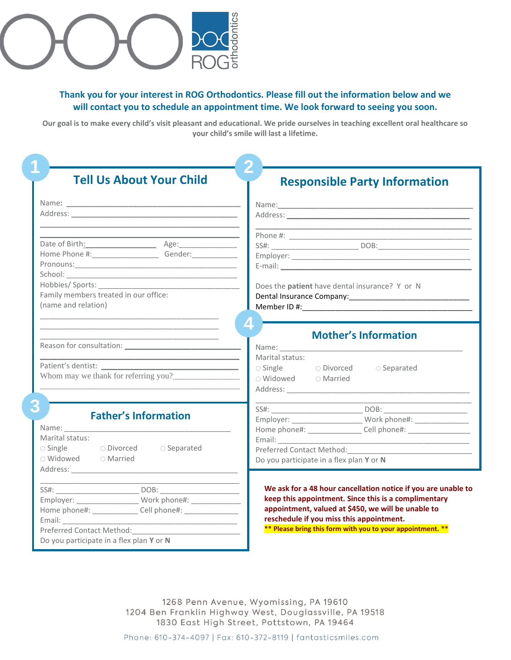

## **Thank you for your interest in ROG Orthodontics. Please fill out the information below and we will contact you to schedule an appointment time. We look forward to seeing you soon.**

**Our goal is to make every child's visit pleasant and educational. We pride ourselves in teaching excellent oral healthcare so your child's smile will last a lifetime.**

| <b>Tell Us About Your Child</b>                                                  | <b>Responsible Party Information</b>                                                                                                                                                                                                                                                                                       |  |  |  |  |  |
|----------------------------------------------------------------------------------|----------------------------------------------------------------------------------------------------------------------------------------------------------------------------------------------------------------------------------------------------------------------------------------------------------------------------|--|--|--|--|--|
|                                                                                  |                                                                                                                                                                                                                                                                                                                            |  |  |  |  |  |
|                                                                                  |                                                                                                                                                                                                                                                                                                                            |  |  |  |  |  |
|                                                                                  |                                                                                                                                                                                                                                                                                                                            |  |  |  |  |  |
|                                                                                  |                                                                                                                                                                                                                                                                                                                            |  |  |  |  |  |
| Date of Birth: Age: Age:                                                         | SS#: DOB:                                                                                                                                                                                                                                                                                                                  |  |  |  |  |  |
| Home Phone #: ___________________________Gender: _______________________________ |                                                                                                                                                                                                                                                                                                                            |  |  |  |  |  |
|                                                                                  |                                                                                                                                                                                                                                                                                                                            |  |  |  |  |  |
|                                                                                  | Does the patient have dental insurance? Y or N                                                                                                                                                                                                                                                                             |  |  |  |  |  |
| Family members treated in our office:                                            |                                                                                                                                                                                                                                                                                                                            |  |  |  |  |  |
| (name and relation)                                                              |                                                                                                                                                                                                                                                                                                                            |  |  |  |  |  |
| Whom may we thank for referring you?                                             | Marital status:<br>○ Single © Divorced<br>○ Separated<br>$\circ$ Widowed $\circ$ Married<br>Address: Analysis and the state of the state of the state of the state of the state of the state of the state of the state of the state of the state of the state of the state of the state of the state of the state of the s |  |  |  |  |  |
|                                                                                  |                                                                                                                                                                                                                                                                                                                            |  |  |  |  |  |
| <b>Father's Information</b>                                                      |                                                                                                                                                                                                                                                                                                                            |  |  |  |  |  |
|                                                                                  | Home phone#: __________________ Cell phone#: ___________________________________                                                                                                                                                                                                                                           |  |  |  |  |  |
| Marital status:                                                                  |                                                                                                                                                                                                                                                                                                                            |  |  |  |  |  |
| $\circ$ Single<br>O Divorced<br>$\circ$ Separated<br>○ Widowed △ Married         | Preferred Contact Method:                                                                                                                                                                                                                                                                                                  |  |  |  |  |  |
|                                                                                  | Do you participate in a flex plan Y or N                                                                                                                                                                                                                                                                                   |  |  |  |  |  |
|                                                                                  |                                                                                                                                                                                                                                                                                                                            |  |  |  |  |  |
|                                                                                  | We ask for a 48 hour cancellation notice if you are unable to                                                                                                                                                                                                                                                              |  |  |  |  |  |
| Employer: ________________________ Work phone#: ________________________________ | keep this appointment. Since this is a complimentary                                                                                                                                                                                                                                                                       |  |  |  |  |  |
| Home phone#: _______________ Cell phone#: ________________                       | appointment, valued at \$450, we will be unable to                                                                                                                                                                                                                                                                         |  |  |  |  |  |
| Email:                                                                           | reschedule if you miss this appointment.                                                                                                                                                                                                                                                                                   |  |  |  |  |  |
| Preferred Contact Method:                                                        | ** Please bring this form with you to your appointment. **                                                                                                                                                                                                                                                                 |  |  |  |  |  |
| Do you participate in a flex plan Y or N                                         |                                                                                                                                                                                                                                                                                                                            |  |  |  |  |  |

1268 Penn Avenue, Wyomissing, PA 19610 1204 Ben Franklin Highway West, Douglassville, PA 19518 1830 East High Street, Pottstown, PA 19464